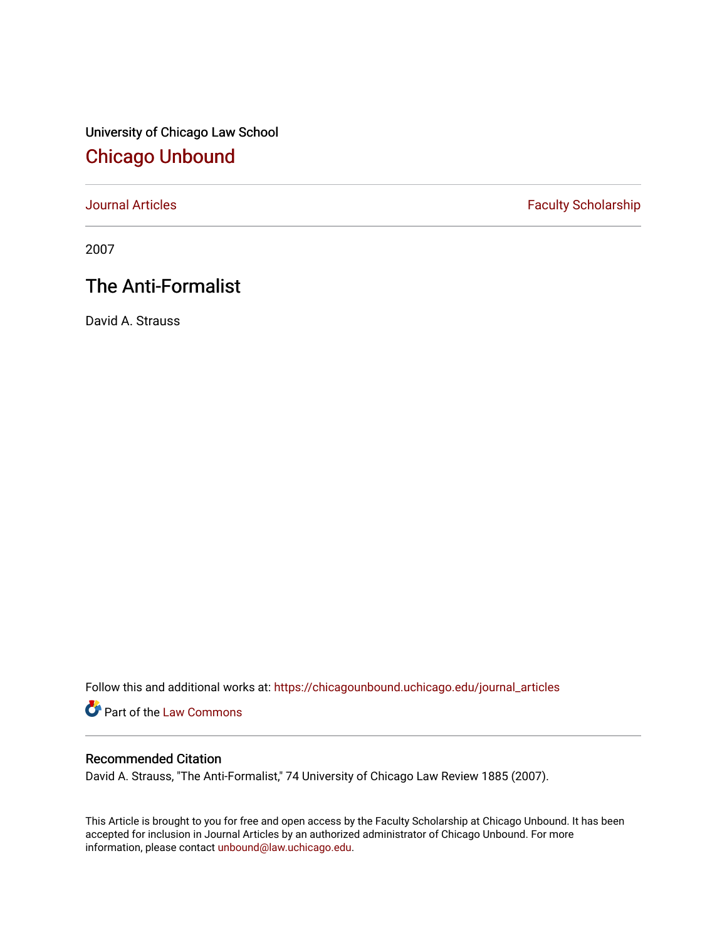University of Chicago Law School [Chicago Unbound](https://chicagounbound.uchicago.edu/)

[Journal Articles](https://chicagounbound.uchicago.edu/journal_articles) **Faculty Scholarship Faculty Scholarship** 

2007

# The Anti-Formalist

David A. Strauss

Follow this and additional works at: [https://chicagounbound.uchicago.edu/journal\\_articles](https://chicagounbound.uchicago.edu/journal_articles?utm_source=chicagounbound.uchicago.edu%2Fjournal_articles%2F1985&utm_medium=PDF&utm_campaign=PDFCoverPages) 

Part of the [Law Commons](http://network.bepress.com/hgg/discipline/578?utm_source=chicagounbound.uchicago.edu%2Fjournal_articles%2F1985&utm_medium=PDF&utm_campaign=PDFCoverPages)

### Recommended Citation

David A. Strauss, "The Anti-Formalist," 74 University of Chicago Law Review 1885 (2007).

This Article is brought to you for free and open access by the Faculty Scholarship at Chicago Unbound. It has been accepted for inclusion in Journal Articles by an authorized administrator of Chicago Unbound. For more information, please contact [unbound@law.uchicago.edu](mailto:unbound@law.uchicago.edu).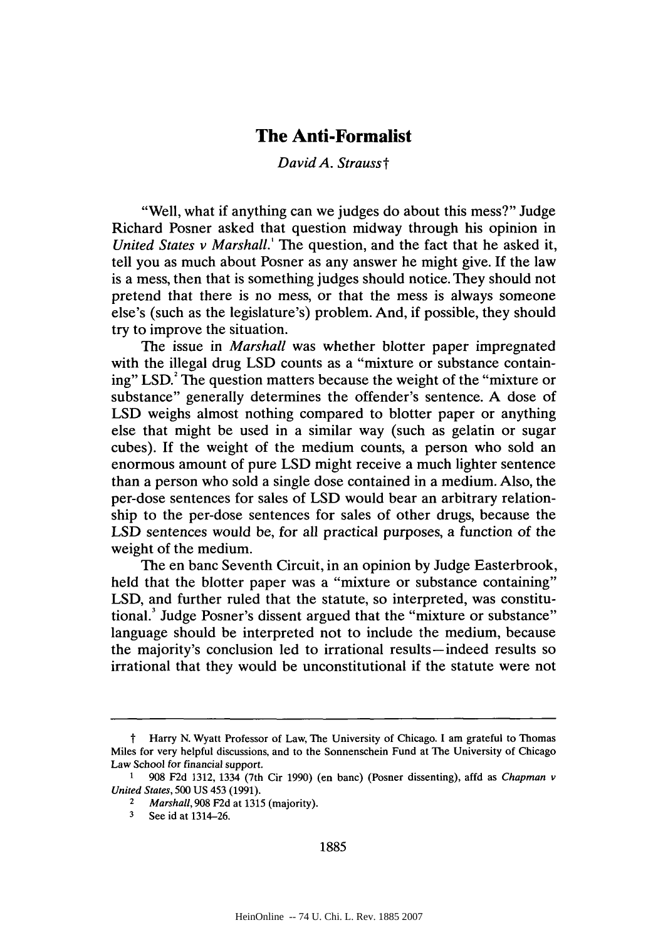## **The Anti-Formalist**

#### *David A. Strausst*

"Well, what if anything can we judges do about this mess?" Judge Richard Posner asked that question midway through his opinion in *United States v Marshall.'* The question, and the fact that he asked it, tell you as much about Posner as any answer he might give. If the law is a mess, then that is something judges should notice. They should not pretend that there is no mess, or that the mess is always someone else's (such as the legislature's) problem. And, if possible, they should try to improve the situation.

The issue in *Marshall* was whether blotter paper impregnated with the illegal drug **LSD** counts as a "mixture or substance containing" LSD.<sup>2</sup> The question matters because the weight of the "mixture or substance" generally determines the offender's sentence. **A** dose of **LSD** weighs almost nothing compared to blotter paper or anything else that might be used in a similar way (such as gelatin or sugar cubes). **If** the weight of the medium counts, a person who sold an enormous amount of pure **LSD** might receive a much lighter sentence than a person who sold a single dose contained in a medium. Also, the per-dose sentences for sales of **LSD** would bear an arbitrary relationship to the per-dose sentences for sales of other drugs, because the **LSD** sentences would be, for all practical purposes, a function of the weight of the medium.

The en banc Seventh Circuit, in an opinion **by** Judge Easterbrook, held that the blotter paper was a "mixture or substance containing" **LSD,** and further ruled that the statute, so interpreted, was constitutional.' Judge Posner's dissent argued that the "mixture or substance" language should be interpreted not to include the medium, because the majority's conclusion led to irrational results-indeed results so irrational that they would be unconstitutional if the statute were not

t Harry **N.** Wyatt Professor of Law, The University of Chicago. **I** am grateful to Thomas Miles for very helpful discussions, and to the Sonnenschein Fund at The University of Chicago *Law* School for financial *support.*

**<sup>1 908</sup> F2d 1312,** 1334 (7th Cir **1990)** (en banc) (Posner dissenting), affd as *Chapman v United States,* **500 US** 453 **(1991).**

<sup>2</sup>*Marshall,* **908 F2d** at **1315** (majority).

**<sup>3</sup>**See id at 1314-26.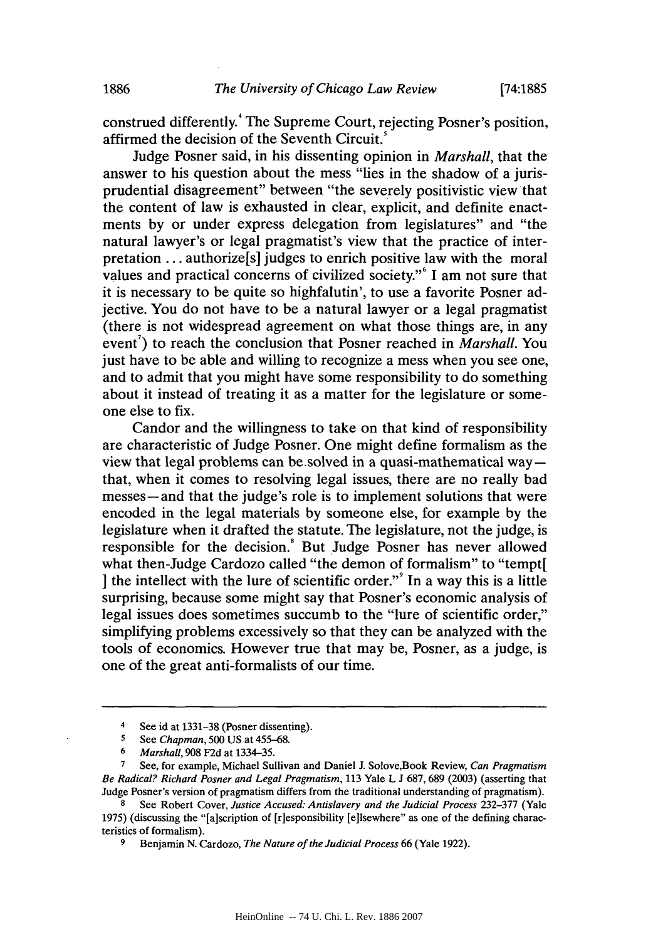construed differently. The Supreme Court, rejecting Posner's position, affirmed the decision of the Seventh Circuit.<sup>5</sup>

Judge Posner said, in his dissenting opinion in *Marshall,* that the answer to his question about the mess "lies in the shadow of a jurisprudential disagreement" between "the severely positivistic view that the content of law is exhausted in clear, explicit, and definite enactments **by** or under express delegation from legislatures" and "the natural lawyer's or legal pragmatist's view that the practice of interpretation **...** authorize[s] judges to enrich positive law with the moral values and practical concerns of civilized society."' **I** am not sure that it is necessary to be quite so highfalutin', to use a favorite Posner adjective. You do not have to be a natural lawyer or a legal pragmatist (there is not widespread agreement on what those things are, in any event<sup>7</sup>) to reach the conclusion that Posner reached in *Marshall*. You just have to be able and willing to recognize a mess when you see one, and to admit that you might have some responsibility to do something about it instead of treating it as a matter for the legislature or someone else to fix.

Candor and the willingness to take on that kind of responsibility are characteristic of Judge Posner. One might define formalism as the view that legal problems can be.solved in a quasi-mathematical waythat, when it comes to resolving legal issues, there are no really bad messes-and that the judge's role is to implement solutions that were encoded in the legal materials **by** someone else, for example **by** the legislature when it drafted the statute. The legislature, not the judge, is responsible for the decision.' But Judge Posner has never allowed what then-Judge Cardozo called "the demon of formalism" to "tempt[] the intellect with the lure of scientific order."<sup>9</sup> In a way this is a little surprising, because some might say that Posner's economic analysis of legal issues does sometimes succumb to the "lure of scientific order," simplifying problems excessively so that they can be analyzed with the tools of economics. However true that may be, Posner, as a judge, is one of the great anti-formalists of our time.

**7** See, for example, Michael Sullivan and Daniel **J.** Solove,Book Review, *Can Pragmatism Be Radical? Richard Posner and Legal Pragmatism, 113* Yale L **J 687, 689 (2003)** (asserting that Judge Posner's version of pragmatism differs from the traditional understanding of pragmatism).

<sup>4</sup> See id at 1331–38 (Posner dissenting).<br>5 See Chapman 500 US at 455–68

**<sup>5</sup>***See Chapman, 500* **US** at **455-68.**

**<sup>6</sup>***Marshall,* **908 F2d** at **1334-35.**

**<sup>8</sup>**See Robert Cover, *Justice Accused: Antislavery and the Judicial Process* **232-377** (Yale **1975)** (discussing the "[a]scription of [riesponsibility [elisewhere" as one of the defining characteristics of formalism).

**<sup>9</sup>** Benjamin **N.** Cardozo, *The Nature of the Judicial Process* **66** (Yale **1922).**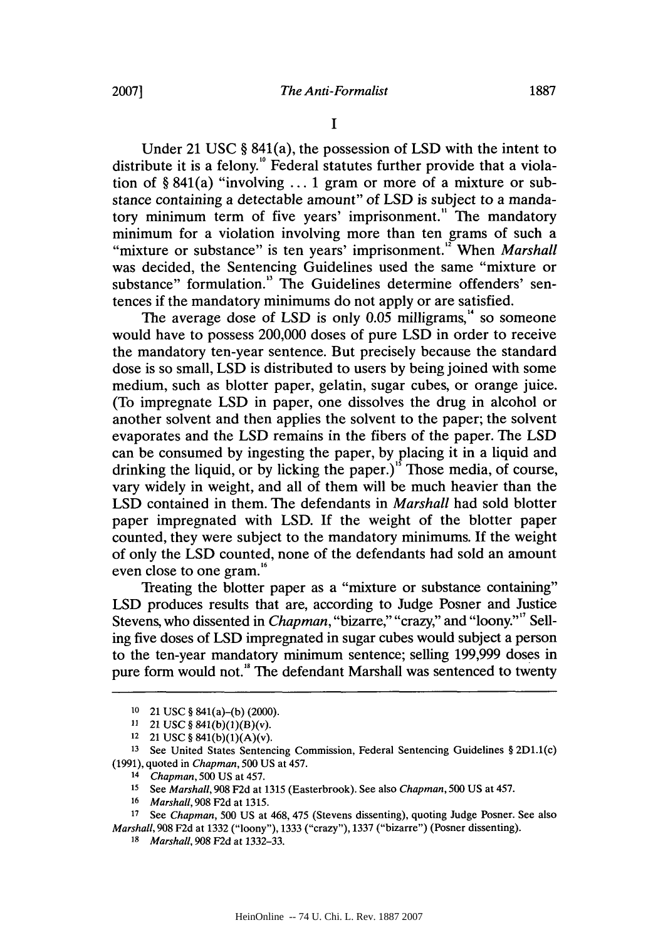**I**

Under 21 **USC §** 841(a), the possession of **LSD** with the intent to distribute it is a felony.<sup>10</sup> Federal statutes further provide that a violation of **§** 841(a) "involving **... 1** gram or more of a mixture or substance containing a detectable amount" of **LSD** is subject to a mandatory minimum term of five years' imprisonment." The mandatory minimum for a violation involving more than ten grams of such a "mixture or substance" is ten years' imprisonment.<sup>12</sup> When *Marshall* was decided, the Sentencing Guidelines used the same "mixture or substance" formulation." The Guidelines determine offenders' sentences if the mandatory minimums do not apply or are satisfied.

The average dose of LSD is only  $0.05$  milligrams,<sup>14</sup> so someone would have to possess 200,000 doses of pure **LSD** in order to receive the mandatory ten-year sentence. But precisely because the standard dose is so small, **LSD** is distributed to users **by** being joined with some medium, such as blotter paper, gelatin, sugar cubes, or orange juice. (To impregnate **LSD** in paper, one dissolves the drug in alcohol or another solvent and then applies the solvent to the paper; the solvent evaporates and the **LSD** remains in the fibers of the paper. The *LSD* can be consumed **by** ingesting the paper, **by** placing it in a liquid and drinking the liquid, or **by** licking the paper.)" Those media, of course, vary widely in weight, and all of them will be much heavier than the **LSD** contained in them. The defendants in *Marshall* had sold blotter paper impregnated with **LSD. If** the weight of the blotter paper counted, they were subject to the mandatory minimums. **If** the weight of only the **LSD** counted, none of the defendants had sold an amount even close to one gram.<sup>16</sup>

Treating the blotter paper as a "mixture or substance containing" **LSD** produces results that are, according to Judge Posner and Justice Stevens, who dissented in *Chapman,* "bizarre," "crazy," and "loony."" Selling five doses of **LSD** impregnated in sugar cubes would subject a person to the ten-year mandatory minimum sentence; selling **199,999** doses in pure form would not." The defendant Marshall was sentenced to twenty

**<sup>17</sup>**See *Chapman,* **500 US** at 468, 475 (Stevens dissenting), quoting Judge Posner. See also *Marshall,* **908 F2d** at **1332** ("loony"), **1333** ("crazy"), **1337** ("bizarre") (Posner dissenting).

**<sup>10</sup>**21 **USC** *§* 841(a)-(b) (2000).

**<sup>11</sup>** 21 **USC** *§* 841(b)(1)(B)(v).

**<sup>12</sup>**21 **USC** *§* 841(b)(1)(A)(v).

**<sup>13</sup>**See United States Sentencing Commission, Federal Sentencing Guidelines *§* 2D1.1(c) **(1991),** quoted in *Chapman, 500* **US** at 457. *14 Chapman,* **500 US** at 457.

**<sup>15</sup>**See *Marshall,* **908 F2d** at **1315** (Easterbrook). See also *Chapman, 500* **US** at 457.

*<sup>16</sup> Marshall,* **908 F2d** at **1315.**

*<sup>18</sup> Marshall,* **908 F2d** at **1332-33.**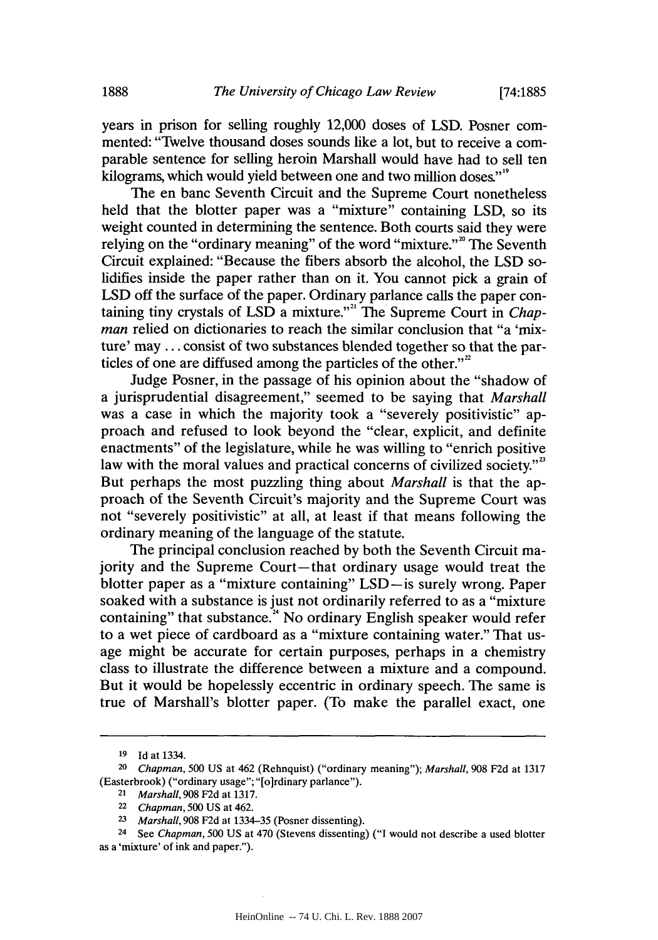years in prison for selling roughly 12,000 doses of **LSD.** Posner commented: "Twelve thousand doses sounds like a lot, but to receive a comparable sentence for selling heroin Marshall would have had to sell ten kilograms, which would yield between one and two million doses."<sup>"</sup>

The en banc Seventh Circuit and the Supreme Court nonetheless held that the blotter paper was a "mixture" containing **LSD,** so its weight counted in determining the sentence. Both courts said they were relying on the "ordinary meaning" of the word "mixture."<sup>20</sup> The Seventh Circuit explained: "Because the fibers absorb the alcohol, the **LSD** solidifies inside the paper rather than on it. You cannot pick a grain of **LSD** off the surface of the paper. Ordinary parlance calls the paper containing tiny crystals of LSD a mixture."<sup>21</sup> The Supreme Court in *Chapman* relied on dictionaries to reach the similar conclusion that "a 'mixture' may **...** consist of two substances blended together so that the particles of one are diffused among the particles of the other. $^{22}$ 

Judge Posner, in the passage of his opinion about the "shadow of a jurisprudential disagreement," seemed to be saying that *Marshall* was a case in which the majority took a "severely positivistic" approach and refused to look beyond the "clear, explicit, and definite enactments" of the legislature, while he was willing to "enrich positive law with the moral values and practical concerns of civilized society."<sup>3</sup> But perhaps the most puzzling thing about *Marshall* is that the approach of the Seventh Circuit's majority and the Supreme Court was not "severely positivistic" at all, at least if that means following the ordinary meaning of the language of the statute.

The principal conclusion reached **by** both the Seventh Circuit majority and the Supreme Court-that ordinary usage would treat the blotter paper as a "mixture containing" LSD-is surely wrong. Paper soaked with a substance is just not ordinarily referred to as a "mixture containing" that substance.<sup>24</sup> No ordinary English speaker would refer to a wet piece of cardboard as a "mixture containing water." That usage might be accurate for certain purposes, perhaps in a chemistry class to illustrate the difference between a mixture and a compound. But it would be hopelessly eccentric in ordinary speech. The same is true of Marshall's blotter paper. (To make the parallel exact, one

**<sup>19</sup> Id** at 1334.

**<sup>20</sup>***Chapman, 500* **US** at 462 (Rehnquist) ("ordinary meaning"); *Marshall,* **908 F2d** at **<sup>1317</sup>** (Easterbrook) ("ordinary usage"; "[o]rdinary parlance").

**<sup>21</sup>** *Marshall,* **908 F2d** at **1317.**

**<sup>22</sup>***Chapman, 500* **US** at 462.

*<sup>23</sup> Marshall,* **908 F2d** at **1334-35** (Posner dissenting).

**<sup>24</sup>**See *Chapman, 500* **US** at 470 (Stevens dissenting) **("I** would not describe a used blotter as a 'mixture' of ink and paper.").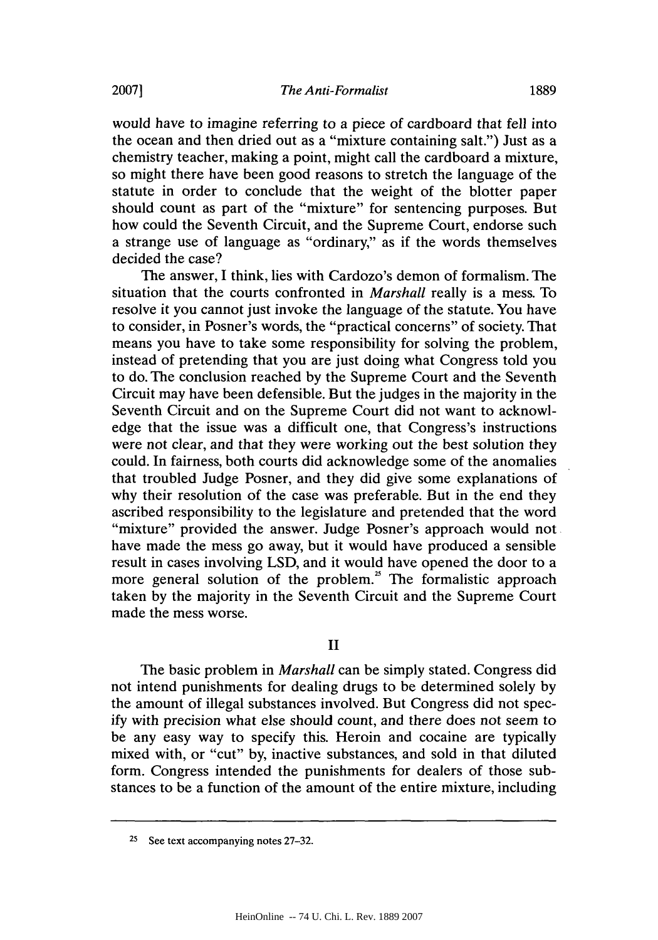would have to imagine referring to a piece of cardboard that fell into the ocean and then dried out as a "mixture containing salt.") Just as a chemistry teacher, making a point, might call the cardboard a mixture, so might there have been good reasons to stretch the language of the statute in order to conclude that the weight of the blotter paper should count as part of the "mixture" for sentencing purposes. But how could the Seventh Circuit, and the Supreme Court, endorse such a strange use of language as "ordinary," as if the words themselves decided the case?

The answer, **I** think, lies with Cardozo's demon of formalism. The situation that the courts confronted in *Marshall* really is a mess. To resolve it you cannot just invoke the language of the statute. You have to consider, in Posner's words, the "practical concerns" of society. That means you have to take some responsibility for solving the problem, instead of pretending that you are just doing what Congress told you to do. The conclusion reached **by** the Supreme Court and the Seventh Circuit may have been defensible. But the judges in the majority in the Seventh Circuit and on the Supreme Court did not want to acknowledge that the issue was a difficult one, that Congress's instructions were not clear, and that they were working out the best solution they could. In fairness, both courts did acknowledge some of the anomalies that troubled Judge Posner, and they did give some explanations of why their resolution of the case was preferable. But in the end they ascribed responsibility to the legislature and pretended that the word "mixture" provided the answer. Judge Posner's approach would not have made the mess go away, but it would have produced a sensible result in cases involving **LSD,** and it would have opened the door to a more general solution of the problem. $5$  The formalistic approach taken **by** the majority in the Seventh Circuit and the Supreme Court made the mess worse.

**II**

The basic problem in *Marshall* can be simply stated. Congress did not intend punishments for dealing drugs to be determined solely **by** the amount of illegal substances involved. But Congress did not spec**ify** with precision what else should count, and there does not seem to be any easy way to specify this. Heroin and cocaine are typically mixed with, or "cut" **by,** inactive substances, and sold in that diluted form. Congress intended the punishments for dealers of those substances to be a function of the amount of the entire mixture, including

**<sup>25</sup>**See text accompanying notes **27-32.**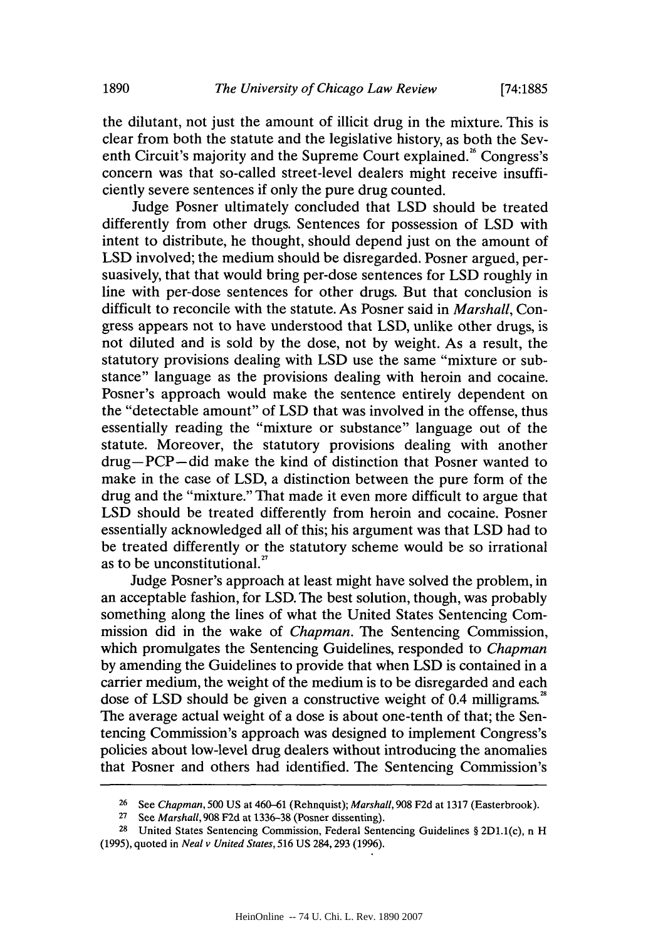the dilutant, not just the amount of illicit drug in the mixture. This is clear from both the statute and the legislative history, as both the Seventh Circuit's majority and the Supreme Court explained." Congress's concern was that so-called street-level dealers might receive insufficiently severe sentences if only the pure drug counted.

Judge Posner ultimately concluded that **LSD** should be treated differently from other drugs. Sentences for possession of **LSD** with intent to distribute, he thought, should depend just on the amount of **LSD** involved; the medium should be disregarded. Posner argued, persuasively, that that would bring per-dose sentences for **LSD** roughly in line with per-dose sentences for other drugs. But that conclusion is difficult to reconcile with the statute. As Posner said in *Marshall, Con*gress appears not to have understood that **LSD,** unlike other drugs, is not diluted and is sold **by** the dose, not **by** weight. As a result, the statutory provisions dealing with **LSD** use the same "mixture or substance" language as the provisions dealing with heroin and cocaine. Posner's approach would make the sentence entirely dependent on the "detectable amount" of **LSD** that was involved in the offense, thus essentially reading the "mixture or substance" language out of the statute. Moreover, the statutory provisions dealing with another drug-PCP-did make the kind of distinction that Posner wanted to make in the case of **LSD,** a distinction between the pure form of the drug and the "mixture." That made it even more difficult to argue that **LSD** should be treated differently from heroin and cocaine. Posner essentially acknowledged all of this; his argument was that **LSD** had to be treated differently or the statutory scheme would be so irrational as to be unconstitutional. $^{27}$ 

Judge Posner's approach at least might have solved the problem, in an acceptable fashion, for **LSD.** The best solution, though, was probably something along the lines of what the United States Sentencing Commission did in the wake of *Chapman.* The Sentencing Commission, which promulgates the Sentencing Guidelines, responded to *Chapman* **by** amending the Guidelines to provide that when **LSD** is contained in a carrier medium, the weight of the medium is to be disregarded and each dose of **LSD** should be given a constructive weight of 0.4 milligrams. The average actual weight of a dose is about one-tenth of that; the Sentencing Commission's approach was designed to implement Congress's policies about low-level drug dealers without introducing the anomalies that Posner and others had identified. The Sentencing Commission's

**<sup>26</sup>**See *Chapman,* **500 US** at 460-61 (Rehnquist); *Marshall,* **908 F2d** at **1317** (Easterbrook).

**<sup>27</sup>**See *Marshall,* **908 F2d** at **1336-38** (Posner dissenting).

**<sup>28</sup>**United States Sentencing Commission, Federal Sentencing Guidelines *§* 2D1.1(c), n H **(1995),** quoted in *Neal v United States,* **516 US** 284,293 **(1996).**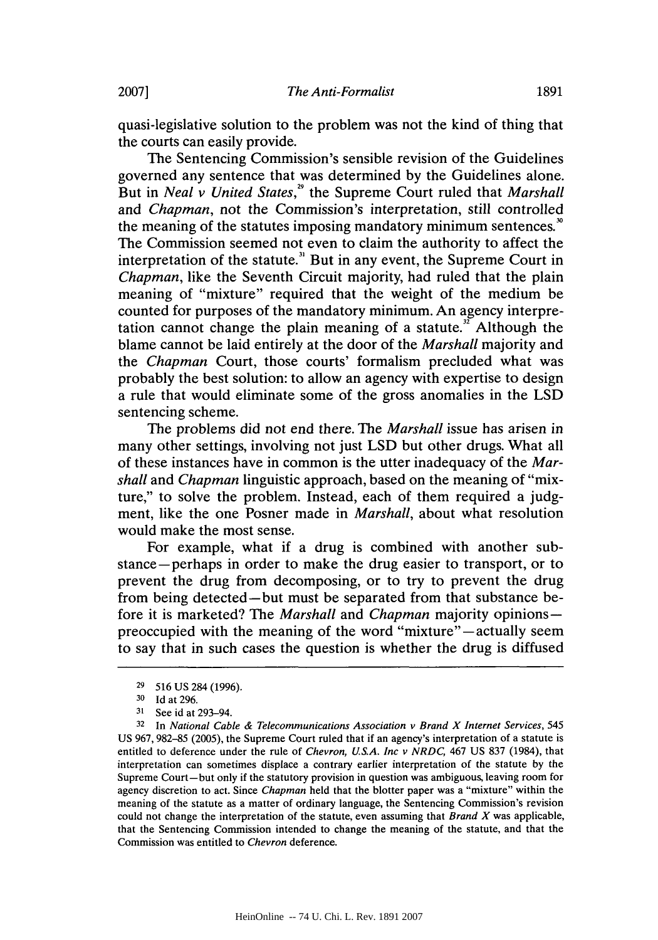quasi-legislative solution to the problem was not the kind of thing that the courts can easily provide.

The Sentencing Commission's sensible revision of the Guidelines governed any sentence that was determined **by** the Guidelines alone. But in *Neal v United States,"* the Supreme Court ruled that *Marshall and Chapman,* not the Commission's interpretation, still controlled the meaning of the statutes imposing mandatory minimum sentences." The Commission seemed not even to claim the authority to affect the interpretation of the statute." But in any event, the Supreme Court in *Chapman,* like the Seventh Circuit majority, had ruled that the plain meaning of "mixture" required that the weight of the medium be counted for purposes of the mandatory minimum. An agency interpretation cannot change the plain meaning of a statute.<sup> $x^2$ </sup> Although the blame cannot be laid entirely at the door of the *Marshall* majority and *the Chapman* Court, those courts' formalism precluded what was probably the best solution: to allow an agency with expertise to design a rule that would eliminate some of the gross anomalies in the **LSD** sentencing scheme.

The problems did not end there. The *Marshall* issue has arisen in many other settings, involving not just **LSD** but other drugs. What all of these instances have in common is the utter inadequacy of the *Marshall and Chapman* linguistic approach, based on the meaning of "mixture," to solve the problem. Instead, each of them required a **judg**ment, like the one Posner made in *Marshall,* about what resolution would make the most sense.

For example, what if a drug is combined with another substance-perhaps in order to make the drug easier to transport, or to prevent the drug from decomposing, or to try to prevent the drug from being detected-but must be separated from that substance before it is marketed? The *Marshall and Chapman* majority opinionspreoccupied with the meaning of the word "mixture"—actually seem to say that in such cases the question is whether the drug is diffused

**<sup>29</sup>516 US** 284 **(1996).**

**<sup>30</sup>Id** at **296.**

**<sup>31</sup>** See id at 293-94.

**<sup>32</sup>**In *National Cable & Telecommunications Association v Brand X Internet Services, 545* **US 967, 982-85 (2005),** the Supreme Court ruled that if an agency's interpretation of a statute is entitled to deference under the rule of *Chevron, US.A. Inc v NRDC,* 467 **US 837** (1984), that interpretation can sometimes displace a contrary earlier interpretation of the statute **by** the Supreme Court-but only if the statutory provision in question was ambiguous, leaving room for agency discretion to act. Since *Chapman* held that the blotter paper was a "mixture" within the meaning of the statute as a matter of ordinary language, the Sentencing Commission's revision could not change the interpretation of the statute, even assuming that *Brand X* was applicable, that the Sentencing Commission intended to change the meaning of the statute, and that the Commission was entitled to *Chevron* deference.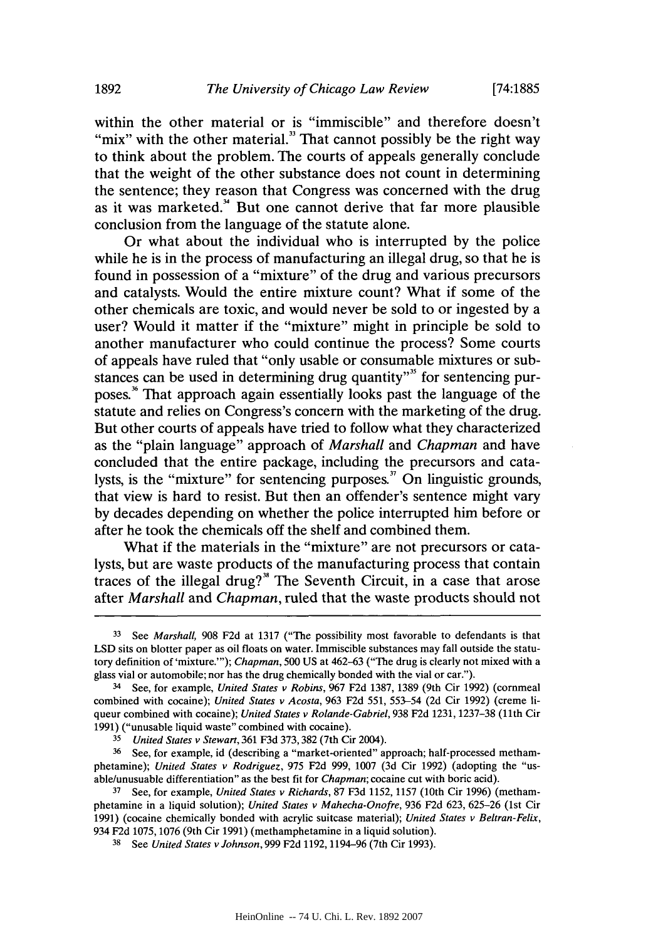within the other material or is "immiscible" and therefore doesn't "mix" with the other material." That cannot possibly be the right way to think about the problem. The courts of appeals generally conclude that the weight of the other substance does not count in determining the sentence; they reason that Congress was concerned with the drug as it was marketed." But one cannot derive that far more plausible conclusion from the language of the statute alone.

Or what about the individual who is interrupted **by** the police while he is in the process of manufacturing an illegal drug, so that he is found in possession of a "mixture" of the drug and various precursors and catalysts. Would the entire mixture count? What if some of the other chemicals are toxic, and would never be sold to or ingested **by** a user? Would it matter if the "mixture" might in principle be sold to another manufacturer who could continue the process? Some courts of appeals have ruled that "only usable or consumable mixtures or substances can be used in determining drug quantity"<sup>35</sup> for sentencing purposes.<sup>36</sup> That approach again essentially looks past the language of the statute and relies on Congress's concern with the marketing of the drug. But other courts of appeals have tried to follow what they characterized as the "plain language" approach of *Marshall and Chapman* and have concluded that the entire package, including the precursors and catalysts, is the "mixture" for sentencing purposes." On linguistic grounds, that view is hard to resist. But then an offender's sentence might vary **by** decades depending on whether the police interrupted him before or after he took the chemicals off the shelf and combined them.

What if the materials in the "mixture" are not precursors or catalysts, but are waste products of the manufacturing process that contain traces of the illegal drug?" The Seventh Circuit, in a case that arose after *Marshall and Chapman,* ruled that the waste products should not

**<sup>33</sup>**See *Marshall,* **908 F2d** at **1317** ("The possibility most favorable to defendants is that **LSD** sits on blotter paper as oil floats on water. Immiscible substances may fall outside the statutory definition of 'mixture."'); *Chapman, 500* **US** at **462-63** ("The drug is clearly not mixed with a glass vial or automobile; nor has the drug chemically bonded with the vial or car.").

<sup>3</sup> See, for example, *United States v Robins,* **967 F2d 1387, 1389** (9th Cir **1992)** (cornmeal combined with cocaine); *United States v Acosta,* **963 F2d 551, 553-54 (2d** Cir **1992)** (creme liqueur combined with cocaine); *United States v Rolande-Gabriel,* **938 F2d 1231, 1237-38** (11th Cir **1991)** ("unusable liquid waste" combined with cocaine).

**<sup>35</sup>***United States v Stewart,* **361 F3d 373,382** (7th Cir 2004).

**<sup>36</sup>** See, for example, id (describing a "market-oriented" approach; half-processed methamphetamine); *United States v Rodriguez,* **975 F2d 999, 1007 (3d** Cir **1992)** (adopting the "usable/unusuable differentiation" as the best fit for *Chapman;* cocaine cut with boric acid).

**<sup>37</sup>** See, for example, *United States v Richards,* **87 F3d 1152, 1157** (10th Cir **1996)** (methamphetamine in a liquid solution); *United States v Mahecha-Onofre,* **936 F2d 623, 625-26** (1st Cir **1991)** (cocaine chemically bonded with acrylic suitcase material); *United States v Beltran-Felix,* 934 **F2d 1075, 1076** (9th Cir **1991)** (methamphetamine in a liquid solution).

**<sup>38</sup>**See *United States v Johnson,* **999 F2d 1192, 1194-96** (7th Cir **1993).**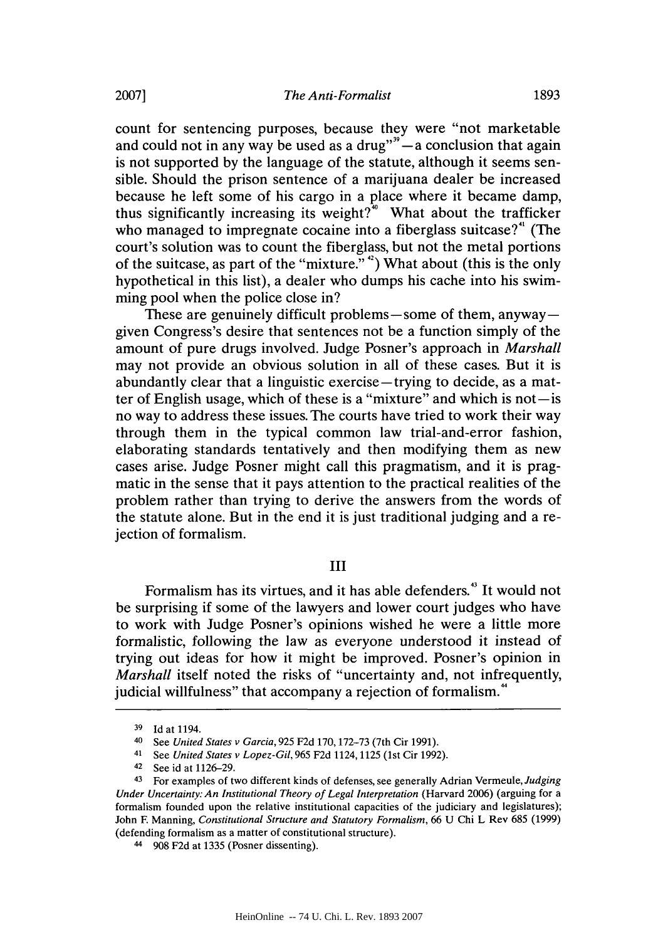count for sentencing purposes, because they were "not marketable and could not in any way be used as a drug" $\sim$  a conclusion that again is not supported **by** the language of the statute, although it seems sensible. Should the prison sentence of a marijuana dealer be increased because he left some of his cargo in a place where it became damp, thus significantly increasing its weight?" What about the trafficker who managed to impregnate cocaine into a fiberglass suitcase?" (The court's solution was to count the fiberglass, but not the metal portions of the suitcase, as part of the "mixture." **42)** What about (this is the only hypothetical in this list), a dealer who dumps his cache into his swimming pool when the police close in?

These are genuinely difficult problems—some of them, anyway given Congress's desire that sentences not be a function simply of the amount of pure drugs involved. Judge Posner's approach in *Marshall* may not provide an obvious solution in all of these cases. But it is abundantly clear that a linguistic exercise-trying to decide, as a matter of English usage, which of these is a "mixture" and which is not $-\text{is}$ no way to address these issues. The courts have tried to work their way through them in the typical common law trial-and-error fashion, elaborating standards tentatively and then modifying them as new cases arise. Judge Posner might call this pragmatism, and it is pragmatic in the sense that it pays attention to the practical realities of the problem rather than trying to derive the answers from the words of the statute alone. But in the end it is just traditional judging and a rejection of formalism.

#### **III**

Formalism has its virtues, and it has able defenders." It would not be surprising if some of the lawyers and lower court judges who have to work with Judge Posner's opinions wished he were a little more formalistic, following the law as everyone understood it instead of trying out ideas for how it might be improved. Posner's opinion in *Marshall* itself noted the risks of "uncertainty and, not infrequently, judicial willfulness" that accompany a rejection of formalism.<sup>4</sup>

**<sup>39</sup> Id** at 1194.

**<sup>40</sup>**See *United States v Garcia, 925* **F2d 170, 172-73** (7th Cir **1991).**

<sup>41</sup>*See United States v Lopez-Gil,* **965 F2d** 1124,1125 (1st Cir **1992).**

**<sup>42</sup>**See id at **1126-29.**

<sup>43</sup> For examples of two different kinds of defenses, see generally Adrian Vermeule, *Judging Under Uncertainty: An Institutional Theory of Legal Interpretation* (Harvard **2006)** (arguing for a formalism founded upon the relative institutional capacities of the judiciary and legislatures); John F Manning, *Constitutional Structure and Statutory Formalism,* **66 U** Chi L Rev **685 (1999)** (defending formalism as a matter of constitutional structure).

<sup>44</sup>**908 F2d** at **1335** (Posner dissenting).